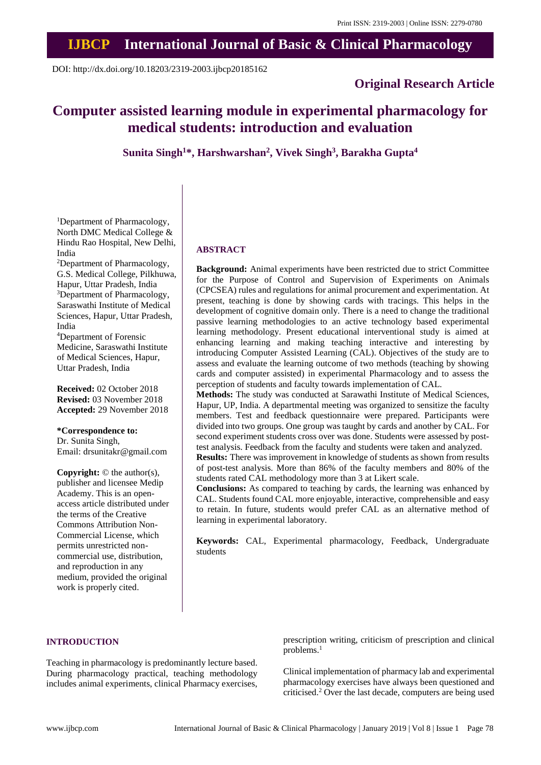# **IJBCP International Journal of Basic & Clinical Pharmacology**

DOI: http://dx.doi.org/10.18203/2319-2003.ijbcp20185162

# **Original Research Article**

# **Computer assisted learning module in experimental pharmacology for medical students: introduction and evaluation**

**Sunita Singh<sup>1</sup>\*, Harshwarshan<sup>2</sup> , Vivek Singh<sup>3</sup> , Barakha Gupta<sup>4</sup>**

<sup>1</sup>Department of Pharmacology, North DMC Medical College & Hindu Rao Hospital, New Delhi, India

<sup>2</sup>Department of Pharmacology, G.S. Medical College, Pilkhuwa, Hapur, Uttar Pradesh, India <sup>3</sup>Department of Pharmacology, Saraswathi Institute of Medical Sciences, Hapur, Uttar Pradesh, India

<sup>4</sup>Department of Forensic Medicine, Saraswathi Institute of Medical Sciences, Hapur, Uttar Pradesh, India

**Received:** 02 October 2018 **Revised:** 03 November 2018 **Accepted:** 29 November 2018

**\*Correspondence to:** Dr. Sunita Singh, Email: drsunitakr@gmail.com

**Copyright:** © the author(s), publisher and licensee Medip Academy. This is an openaccess article distributed under the terms of the Creative Commons Attribution Non-Commercial License, which permits unrestricted noncommercial use, distribution, and reproduction in any medium, provided the original work is properly cited.

#### **ABSTRACT**

**Background:** Animal experiments have been restricted due to strict Committee for the Purpose of Control and Supervision of Experiments on Animals (CPCSEA) rules and regulations for animal procurement and experimentation. At present, teaching is done by showing cards with tracings. This helps in the development of cognitive domain only. There is a need to change the traditional passive learning methodologies to an active technology based experimental learning methodology. Present educational interventional study is aimed at enhancing learning and making teaching interactive and interesting by introducing Computer Assisted Learning (CAL). Objectives of the study are to assess and evaluate the learning outcome of two methods (teaching by showing cards and computer assisted) in experimental Pharmacology and to assess the perception of students and faculty towards implementation of CAL.

**Methods:** The study was conducted at Sarawathi Institute of Medical Sciences, Hapur, UP, India. A departmental meeting was organized to sensitize the faculty members. Test and feedback questionnaire were prepared. Participants were divided into two groups. One group was taught by cards and another by CAL. For second experiment students cross over was done. Students were assessed by posttest analysis. Feedback from the faculty and students were taken and analyzed.

**Results:** There was improvement in knowledge of students as shown from results of post-test analysis. More than 86% of the faculty members and 80% of the students rated CAL methodology more than 3 at Likert scale.

**Conclusions:** As compared to teaching by cards, the learning was enhanced by CAL. Students found CAL more enjoyable, interactive, comprehensible and easy to retain. In future, students would prefer CAL as an alternative method of learning in experimental laboratory.

**Keywords:** CAL, Experimental pharmacology, Feedback, Undergraduate students

## **INTRODUCTION**

Teaching in pharmacology is predominantly lecture based. During pharmacology practical, teaching methodology includes animal experiments, clinical Pharmacy exercises, prescription writing, criticism of prescription and clinical problems.<sup>1</sup>

Clinical implementation of pharmacy lab and experimental pharmacology exercises have always been questioned and criticised.<sup>2</sup> Over the last decade, computers are being used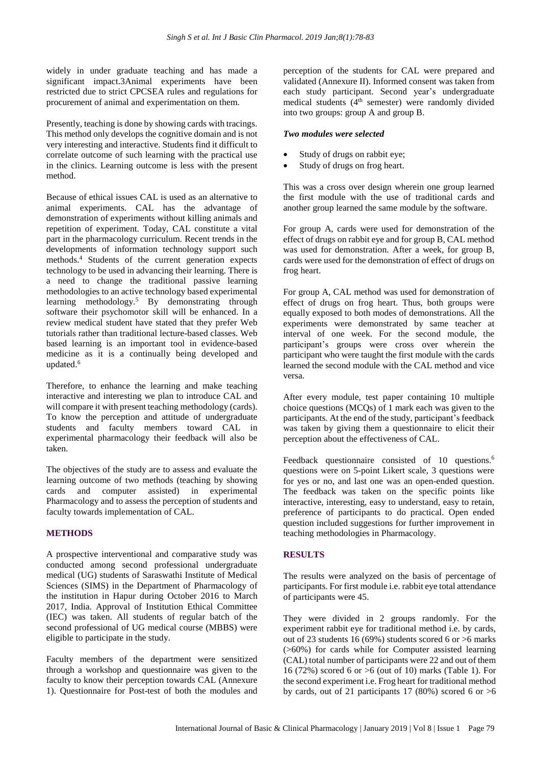widely in under graduate teaching and has made a significant impact.3Animal experiments have been restricted due to strict CPCSEA rules and regulations for procurement of animal and experimentation on them.

Presently, teaching is done by showing cards with tracings. This method only develops the cognitive domain and is not very interesting and interactive. Students find it difficult to correlate outcome of such learning with the practical use in the clinics. Learning outcome is less with the present method.

Because of ethical issues CAL is used as an alternative to animal experiments. CAL has the advantage of demonstration of experiments without killing animals and repetition of experiment. Today, CAL constitute a vital part in the pharmacology curriculum. Recent trends in the developments of information technology support such methods.<sup>4</sup> Students of the current generation expects technology to be used in advancing their learning. There is a need to change the traditional passive learning methodologies to an active technology based experimental learning methodology.<sup>5</sup> By demonstrating through software their psychomotor skill will be enhanced. In a review medical student have stated that they prefer Web tutorials rather than traditional lecture-based classes. Web based learning is an important tool in evidence-based medicine as it is a continually being developed and updated.<sup>6</sup>

Therefore, to enhance the learning and make teaching interactive and interesting we plan to introduce CAL and will compare it with present teaching methodology (cards). To know the perception and attitude of undergraduate students and faculty members toward CAL in experimental pharmacology their feedback will also be taken.

The objectives of the study are to assess and evaluate the learning outcome of two methods (teaching by showing cards and computer assisted) in experimental Pharmacology and to assess the perception of students and faculty towards implementation of CAL.

## **METHODS**

A prospective interventional and comparative study was conducted among second professional undergraduate medical (UG) students of Saraswathi Institute of Medical Sciences (SIMS) in the Department of Pharmacology of the institution in Hapur during October 2016 to March 2017, India. Approval of Institution Ethical Committee (IEC) was taken. All students of regular batch of the second professional of UG medical course (MBBS) were eligible to participate in the study.

Faculty members of the department were sensitized through a workshop and questionnaire was given to the faculty to know their perception towards CAL (Annexure 1). Questionnaire for Post-test of both the modules and perception of the students for CAL were prepared and validated (Annexure II). Informed consent was taken from each study participant. Second year's undergraduate medical students  $(4<sup>th</sup>$  semester) were randomly divided into two groups: group A and group B.

## *Two modules were selected*

- Study of drugs on rabbit eye;
- Study of drugs on frog heart.

This was a cross over design wherein one group learned the first module with the use of traditional cards and another group learned the same module by the software.

For group A, cards were used for demonstration of the effect of drugs on rabbit eye and for group B, CAL method was used for demonstration. After a week, for group B, cards were used for the demonstration of effect of drugs on frog heart.

For group A, CAL method was used for demonstration of effect of drugs on frog heart. Thus, both groups were equally exposed to both modes of demonstrations. All the experiments were demonstrated by same teacher at interval of one week. For the second module, the participant's groups were cross over wherein the participant who were taught the first module with the cards learned the second module with the CAL method and vice versa.

After every module, test paper containing 10 multiple choice questions (MCQs) of 1 mark each was given to the participants. At the end of the study, participant's feedback was taken by giving them a questionnaire to elicit their perception about the effectiveness of CAL.

Feedback questionnaire consisted of 10 questions.<sup>6</sup> questions were on 5-point Likert scale, 3 questions were for yes or no, and last one was an open-ended question. The feedback was taken on the specific points like interactive, interesting, easy to understand, easy to retain, preference of participants to do practical. Open ended question included suggestions for further improvement in teaching methodologies in Pharmacology.

## **RESULTS**

The results were analyzed on the basis of percentage of participants. For first module i.e. rabbit eye total attendance of participants were 45.

They were divided in 2 groups randomly. For the experiment rabbit eye for traditional method i.e. by cards, out of 23 students 16 (69%) students scored 6 or >6 marks (>60%) for cards while for Computer assisted learning (CAL) total number of participants were 22 and out of them 16 (72%) scored 6 or >6 (out of 10) marks (Table 1). For the second experiment i.e. Frog heart for traditional method by cards, out of 21 participants 17 (80%) scored 6 or  $>6$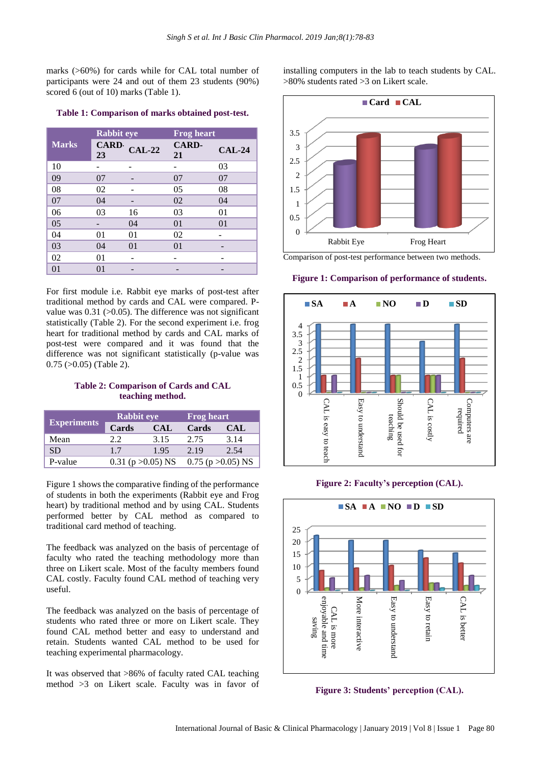marks (>60%) for cards while for CAL total number of participants were 24 and out of them 23 students (90%) scored 6 (out of 10) marks (Table 1).

|              | <b>Rabbit eye</b> |          | <b>Frog heart</b>  |          |  |  |
|--------------|-------------------|----------|--------------------|----------|--|--|
| <b>Marks</b> | <b>CARD</b><br>23 | $CAL-22$ | <b>CARD-</b><br>21 | $CAL-24$ |  |  |
| 10           |                   |          |                    | 03       |  |  |
| 09           | 07                |          | 07                 | 07       |  |  |
| 08           | 02                |          | 0 <sub>5</sub>     | 08       |  |  |
| 07           | 04                |          | 02                 | 04       |  |  |
| 06           | 03                | 16       | 03                 | 01       |  |  |
| 05           |                   | 04       | 01                 | 01       |  |  |
| 04           | 01                | 01       | 02                 |          |  |  |
| 03           | 04                | 01       | 01                 |          |  |  |
| 02           | 01                |          |                    |          |  |  |
| 01           | 01                |          |                    |          |  |  |

**Table 1: Comparison of marks obtained post-test.**

For first module i.e. Rabbit eye marks of post-test after traditional method by cards and CAL were compared. Pvalue was  $0.31$  ( $>0.05$ ). The difference was not significant statistically (Table 2). For the second experiment i.e. frog heart for traditional method by cards and CAL marks of post-test were compared and it was found that the difference was not significant statistically (p-value was 0.75 (>0.05) (Table 2).

## **Table 2: Comparison of Cards and CAL teaching method.**

|                    | <b>Rabbit eye</b>      |            | <b>Frog heart</b> |                        |  |  |
|--------------------|------------------------|------------|-------------------|------------------------|--|--|
| <b>Experiments</b> | Cards                  | <b>CAL</b> | Cards             | CAL                    |  |  |
| Mean               | 22                     | 3.15       | 2.75              | 3.14                   |  |  |
| <b>SD</b>          | 1.7                    | 1.95       | 2.19              | 2.54                   |  |  |
| P-value            | 0.31 ( $p > 0.05$ ) NS |            |                   | $0.75$ (p $>0.05$ ) NS |  |  |

Figure 1 shows the comparative finding of the performance of students in both the experiments (Rabbit eye and Frog heart) by traditional method and by using CAL. Students performed better by CAL method as compared to traditional card method of teaching.

The feedback was analyzed on the basis of percentage of faculty who rated the teaching methodology more than three on Likert scale. Most of the faculty members found CAL costly. Faculty found CAL method of teaching very useful.

The feedback was analyzed on the basis of percentage of students who rated three or more on Likert scale. They found CAL method better and easy to understand and retain. Students wanted CAL method to be used for teaching experimental pharmacology.

It was observed that >86% of faculty rated CAL teaching method >3 on Likert scale. Faculty was in favor of installing computers in the lab to teach students by CAL. >80% students rated >3 on Likert scale.



Comparison of post-test performance between two methods.

#### **Figure 1: Comparison of performance of students.**



#### **Figure 2: Faculty's perception (CAL).**



**Figure 3: Students' perception (CAL).**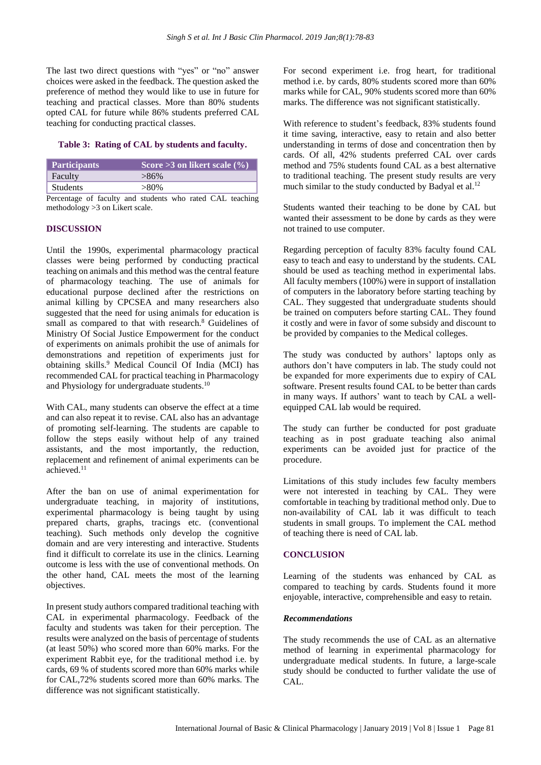The last two direct questions with "yes" or "no" answer choices were asked in the feedback. The question asked the preference of method they would like to use in future for teaching and practical classes. More than 80% students opted CAL for future while 86% students preferred CAL teaching for conducting practical classes.

#### **Table 3: Rating of CAL by students and faculty.**

| <b>Participants</b> | Score $\overline{>3}$ on likert scale $(\% )$ |
|---------------------|-----------------------------------------------|
| Faculty             | $>86\%$                                       |
| <b>Students</b>     | $>80\%$                                       |

Percentage of faculty and students who rated CAL teaching methodology >3 on Likert scale.

#### **DISCUSSION**

Until the 1990s, experimental pharmacology practical classes were being performed by conducting practical teaching on animals and this method wasthe central feature of pharmacology teaching. The use of animals for educational purpose declined after the restrictions on animal killing by CPCSEA and many researchers also suggested that the need for using animals for education is small as compared to that with research.<sup>8</sup> Guidelines of Ministry Of Social Justice Empowerment for the conduct of experiments on animals prohibit the use of animals for demonstrations and repetition of experiments just for obtaining skills.<sup>9</sup> Medical Council Of India (MCI) has recommended CAL for practical teaching in Pharmacology and Physiology for undergraduate students.<sup>10</sup>

With CAL, many students can observe the effect at a time and can also repeat it to revise. CAL also has an advantage of promoting self-learning. The students are capable to follow the steps easily without help of any trained assistants, and the most importantly, the reduction, replacement and refinement of animal experiments can be achieved.<sup>11</sup>

After the ban on use of animal experimentation for undergraduate teaching, in majority of institutions, experimental pharmacology is being taught by using prepared charts, graphs, tracings etc. (conventional teaching). Such methods only develop the cognitive domain and are very interesting and interactive. Students find it difficult to correlate its use in the clinics. Learning outcome is less with the use of conventional methods. On the other hand, CAL meets the most of the learning objectives.

In present study authors compared traditional teaching with CAL in experimental pharmacology. Feedback of the faculty and students was taken for their perception. The results were analyzed on the basis of percentage of students (at least 50%) who scored more than 60% marks. For the experiment Rabbit eye, for the traditional method i.e. by cards, 69 % of students scored more than 60% marks while for CAL,72% students scored more than 60% marks. The difference was not significant statistically.

For second experiment i.e. frog heart, for traditional method i.e. by cards, 80% students scored more than 60% marks while for CAL, 90% students scored more than 60% marks. The difference was not significant statistically.

With reference to student's feedback, 83% students found it time saving, interactive, easy to retain and also better understanding in terms of dose and concentration then by cards. Of all, 42% students preferred CAL over cards method and 75% students found CAL as a best alternative to traditional teaching. The present study results are very much similar to the study conducted by Badyal et al.<sup>12</sup>

Students wanted their teaching to be done by CAL but wanted their assessment to be done by cards as they were not trained to use computer.

Regarding perception of faculty 83% faculty found CAL easy to teach and easy to understand by the students. CAL should be used as teaching method in experimental labs. All faculty members (100%) were in support of installation of computers in the laboratory before starting teaching by CAL. They suggested that undergraduate students should be trained on computers before starting CAL. They found it costly and were in favor of some subsidy and discount to be provided by companies to the Medical colleges.

The study was conducted by authors' laptops only as authors don't have computers in lab. The study could not be expanded for more experiments due to expiry of CAL software. Present results found CAL to be better than cards in many ways. If authors' want to teach by CAL a wellequipped CAL lab would be required.

The study can further be conducted for post graduate teaching as in post graduate teaching also animal experiments can be avoided just for practice of the procedure.

Limitations of this study includes few faculty members were not interested in teaching by CAL. They were comfortable in teaching by traditional method only. Due to non-availability of CAL lab it was difficult to teach students in small groups. To implement the CAL method of teaching there is need of CAL lab.

#### **CONCLUSION**

Learning of the students was enhanced by CAL as compared to teaching by cards. Students found it more enjoyable, interactive, comprehensible and easy to retain.

#### *Recommendations*

The study recommends the use of CAL as an alternative method of learning in experimental pharmacology for undergraduate medical students. In future, a large-scale study should be conducted to further validate the use of CAL.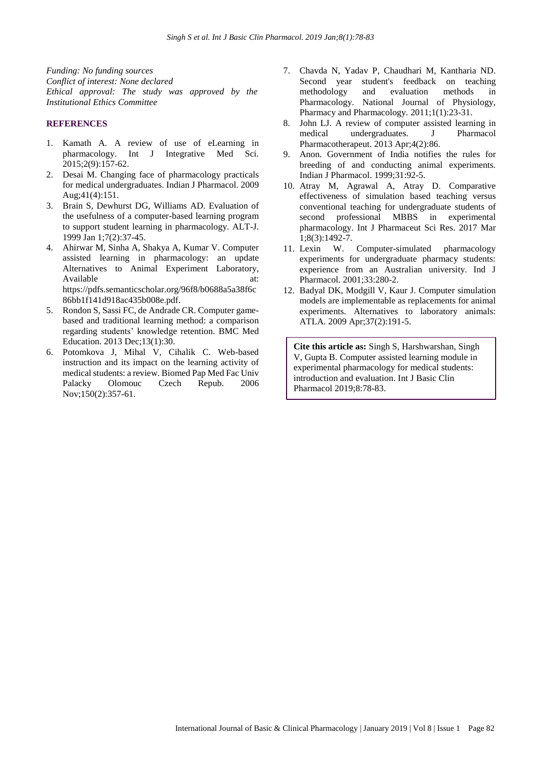*Funding: No funding sources Conflict of interest: None declared Ethical approval: The study was approved by the Institutional Ethics Committee*

## **REFERENCES**

- 1. Kamath A. A review of use of eLearning in pharmacology. Int J Integrative Med Sci. 2015;2(9):157-62.
- 2. Desai M. Changing face of pharmacology practicals for medical undergraduates. Indian J Pharmacol. 2009 Aug;41(4):151.
- 3. Brain S, Dewhurst DG, Williams AD. Evaluation of the usefulness of a computer-based learning program to support student learning in pharmacology. ALT-J. 1999 Jan 1;7(2):37-45.
- 4. Ahirwar M, Sinha A, Shakya A, Kumar V. Computer assisted learning in pharmacology: an update Alternatives to Animal Experiment Laboratory, Available at: at: https://pdfs.semanticscholar.org/96f8/b0688a5a38f6c 86bb1f141d918ac435b008e.pdf.
- 5. Rondon S, Sassi FC, de Andrade CR. Computer gamebased and traditional learning method: a comparison regarding students' knowledge retention. BMC Med Education. 2013 Dec;13(1):30.
- 6. Potomkova J, Mihal V, Cihalik C. Web-based instruction and its impact on the learning activity of medical students: a review. Biomed Pap Med Fac Univ Palacky Olomouc Czech Repub. 2006 Nov;150(2):357-61.
- 7. Chavda N, Yadav P, Chaudhari M, Kantharia ND. Second year student's feedback on teaching methodology and evaluation methods in Pharmacology. National Journal of Physiology, Pharmacy and Pharmacology. 2011;1(1):23-31.
- 8. John LJ. A review of computer assisted learning in medical undergraduates. J Pharmacol Pharmacotherapeut. 2013 Apr;4(2):86.
- 9. Anon. Government of India notifies the rules for breeding of and conducting animal experiments. Indian J Pharmacol. 1999;31:92-5.
- 10. Atray M, Agrawal A, Atray D. Comparative effectiveness of simulation based teaching versus conventional teaching for undergraduate students of second professional MBBS in experimental pharmacology. Int J Pharmaceut Sci Res. 2017 Mar 1;8(3):1492-7.
- 11. Lexin W. Computer-simulated pharmacology experiments for undergraduate pharmacy students: experience from an Australian university. Ind J Pharmacol. 2001;33:280-2.
- 12. Badyal DK, Modgill V, Kaur J. Computer simulation models are implementable as replacements for animal experiments. Alternatives to laboratory animals: ATLA. 2009 Apr;37(2):191-5.

**Cite this article as:** Singh S, Harshwarshan, Singh V, Gupta B. Computer assisted learning module in experimental pharmacology for medical students: introduction and evaluation. Int J Basic Clin Pharmacol 2019;8:78-83.